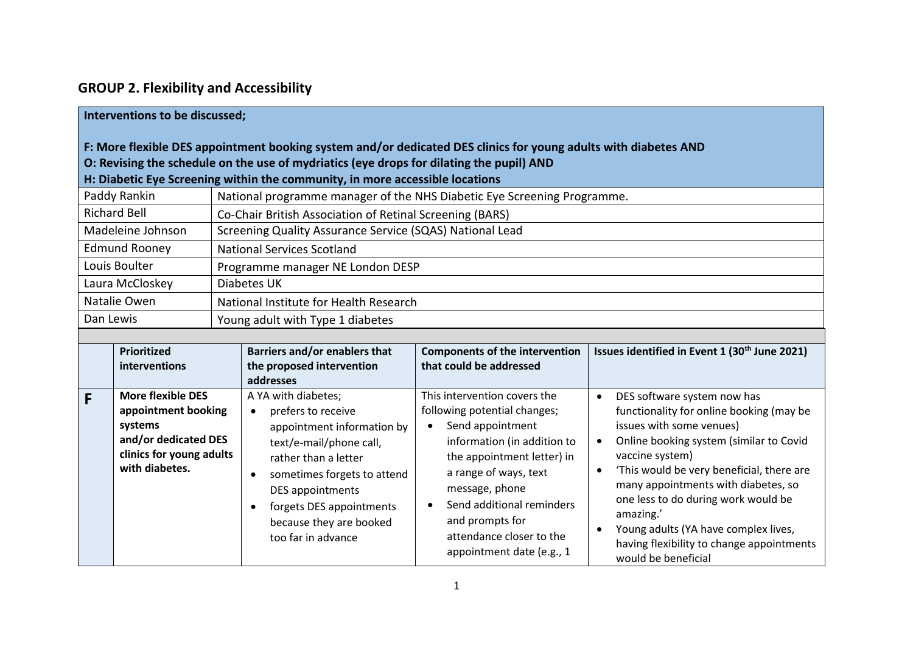## **GROUP 2. Flexibility and Accessibility**

## **Interventions to be discussed;**

## **F: More flexible DES appointment booking system and/or dedicated DES clinics for young adults with diabetes AND O: Revising the schedule on the use of mydriatics (eye drops for dilating the pupil) AND**

## **H: Diabetic Eye Screening within the community, in more accessible locations**

| Paddy Rankin         | National programme manager of the NHS Diabetic Eye Screening Programme. |  |  |
|----------------------|-------------------------------------------------------------------------|--|--|
| <b>Richard Bell</b>  | Co-Chair British Association of Retinal Screening (BARS)                |  |  |
| Madeleine Johnson    | Screening Quality Assurance Service (SQAS) National Lead                |  |  |
| <b>Edmund Rooney</b> | <b>National Services Scotland</b>                                       |  |  |
| Louis Boulter        | Programme manager NE London DESP                                        |  |  |
| Laura McCloskey      | Diabetes UK                                                             |  |  |
| Natalie Owen         | National Institute for Health Research                                  |  |  |
| Dan Lewis            | Young adult with Type 1 diabetes                                        |  |  |

|   | <b>Prioritized</b><br>interventions                                                                                              | Barriers and/or enablers that<br>the proposed intervention<br>addresses                                                                                                                                                                                    | <b>Components of the intervention</b><br>that could be addressed                                                                                                                                                                                                                                  | Issues identified in Event 1 (30 <sup>th</sup> June 2021)                                                                                                                                                                                                                                                                                                                                                                                         |
|---|----------------------------------------------------------------------------------------------------------------------------------|------------------------------------------------------------------------------------------------------------------------------------------------------------------------------------------------------------------------------------------------------------|---------------------------------------------------------------------------------------------------------------------------------------------------------------------------------------------------------------------------------------------------------------------------------------------------|---------------------------------------------------------------------------------------------------------------------------------------------------------------------------------------------------------------------------------------------------------------------------------------------------------------------------------------------------------------------------------------------------------------------------------------------------|
| F | <b>More flexible DES</b><br>appointment booking<br>systems<br>and/or dedicated DES<br>clinics for young adults<br>with diabetes. | A YA with diabetes;<br>prefers to receive<br>appointment information by<br>text/e-mail/phone call,<br>rather than a letter<br>sometimes forgets to attend<br>DES appointments<br>forgets DES appointments<br>because they are booked<br>too far in advance | This intervention covers the<br>following potential changes;<br>Send appointment<br>information (in addition to<br>the appointment letter) in<br>a range of ways, text<br>message, phone<br>Send additional reminders<br>and prompts for<br>attendance closer to the<br>appointment date (e.g., 1 | DES software system now has<br>$\bullet$<br>functionality for online booking (may be<br>issues with some venues)<br>Online booking system (similar to Covid<br>٠<br>vaccine system)<br>'This would be very beneficial, there are<br>٠<br>many appointments with diabetes, so<br>one less to do during work would be<br>amazing.'<br>Young adults (YA have complex lives,<br>€<br>having flexibility to change appointments<br>would be beneficial |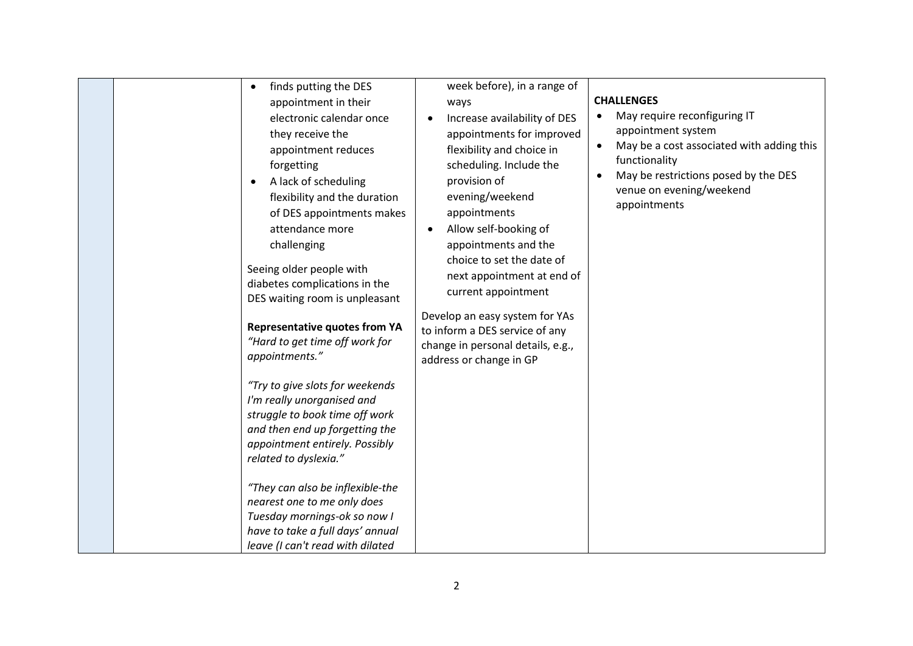| $\bullet$<br>they receive the<br>forgetting<br>$\bullet$<br>challenging<br>Seeing older people with<br>appointments." | finds putting the DES<br>appointment in their<br>electronic calendar once<br>appointment reduces<br>A lack of scheduling<br>flexibility and the duration<br>of DES appointments makes<br>attendance more<br>diabetes complications in the<br>DES waiting room is unpleasant<br><b>Representative quotes from YA</b><br>"Hard to get time off work for<br>"Try to give slots for weekends<br>I'm really unorganised and<br>struggle to book time off work<br>and then end up forgetting the | week before), in a range of<br>ways<br>Increase availability of DES<br>appointments for improved<br>flexibility and choice in<br>scheduling. Include the<br>provision of<br>evening/weekend<br>appointments<br>Allow self-booking of<br>$\bullet$<br>appointments and the<br>choice to set the date of<br>next appointment at end of<br>current appointment<br>Develop an easy system for YAs<br>to inform a DES service of any<br>change in personal details, e.g.,<br>address or change in GP | <b>CHALLENGES</b><br>May require reconfiguring IT<br>appointment system<br>May be a cost associated with adding this<br>functionality<br>May be restrictions posed by the DES<br>$\bullet$<br>venue on evening/weekend<br>appointments |
|-----------------------------------------------------------------------------------------------------------------------|--------------------------------------------------------------------------------------------------------------------------------------------------------------------------------------------------------------------------------------------------------------------------------------------------------------------------------------------------------------------------------------------------------------------------------------------------------------------------------------------|-------------------------------------------------------------------------------------------------------------------------------------------------------------------------------------------------------------------------------------------------------------------------------------------------------------------------------------------------------------------------------------------------------------------------------------------------------------------------------------------------|----------------------------------------------------------------------------------------------------------------------------------------------------------------------------------------------------------------------------------------|
| related to dyslexia."                                                                                                 | appointment entirely. Possibly                                                                                                                                                                                                                                                                                                                                                                                                                                                             |                                                                                                                                                                                                                                                                                                                                                                                                                                                                                                 |                                                                                                                                                                                                                                        |
|                                                                                                                       | "They can also be inflexible-the<br>nearest one to me only does<br>Tuesday mornings-ok so now I<br>have to take a full days' annual<br>leave (I can't read with dilated                                                                                                                                                                                                                                                                                                                    |                                                                                                                                                                                                                                                                                                                                                                                                                                                                                                 |                                                                                                                                                                                                                                        |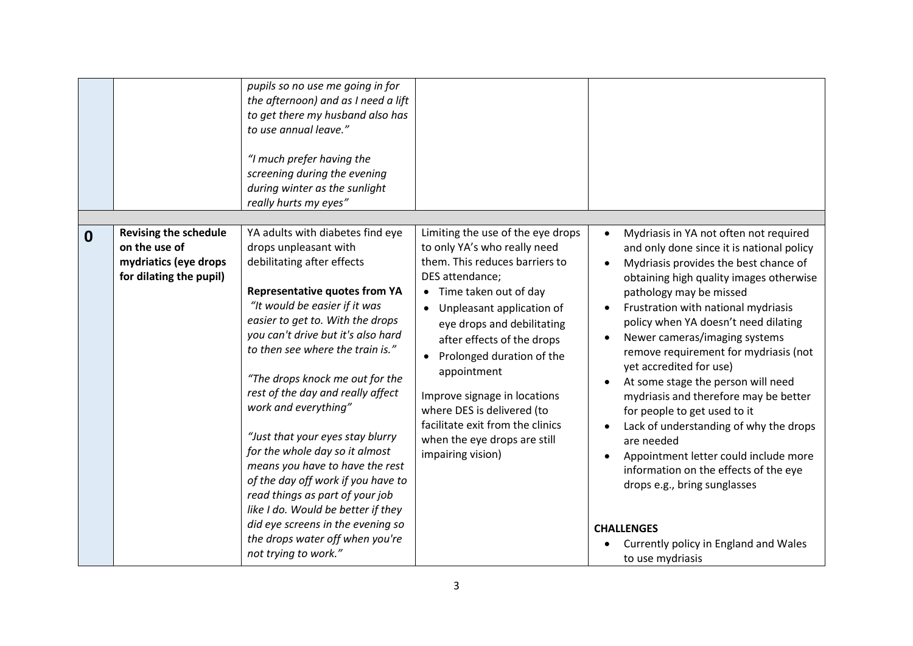|             |                                                                                                   | pupils so no use me going in for<br>the afternoon) and as I need a lift<br>to get there my husband also has<br>to use annual leave."<br>"I much prefer having the<br>screening during the evening<br>during winter as the sunlight<br>really hurts my eyes"                                                                                                                                                                                                                                                                                                                                                                                                                                            |                                                                                                                                                                                                                                                                                                                                                                                                                                                   |                                                                                                                                                                                                                                                                                                                                                                                                                                                                                                                                                                                                                                                                                                                                                                   |
|-------------|---------------------------------------------------------------------------------------------------|--------------------------------------------------------------------------------------------------------------------------------------------------------------------------------------------------------------------------------------------------------------------------------------------------------------------------------------------------------------------------------------------------------------------------------------------------------------------------------------------------------------------------------------------------------------------------------------------------------------------------------------------------------------------------------------------------------|---------------------------------------------------------------------------------------------------------------------------------------------------------------------------------------------------------------------------------------------------------------------------------------------------------------------------------------------------------------------------------------------------------------------------------------------------|-------------------------------------------------------------------------------------------------------------------------------------------------------------------------------------------------------------------------------------------------------------------------------------------------------------------------------------------------------------------------------------------------------------------------------------------------------------------------------------------------------------------------------------------------------------------------------------------------------------------------------------------------------------------------------------------------------------------------------------------------------------------|
| $\mathbf 0$ | <b>Revising the schedule</b><br>on the use of<br>mydriatics (eye drops<br>for dilating the pupil) | YA adults with diabetes find eye<br>drops unpleasant with<br>debilitating after effects<br><b>Representative quotes from YA</b><br>"It would be easier if it was<br>easier to get to. With the drops<br>you can't drive but it's also hard<br>to then see where the train is."<br>"The drops knock me out for the<br>rest of the day and really affect<br>work and everything"<br>"Just that your eyes stay blurry<br>for the whole day so it almost<br>means you have to have the rest<br>of the day off work if you have to<br>read things as part of your job<br>like I do. Would be better if they<br>did eye screens in the evening so<br>the drops water off when you're<br>not trying to work." | Limiting the use of the eye drops<br>to only YA's who really need<br>them. This reduces barriers to<br>DES attendance;<br>• Time taken out of day<br>• Unpleasant application of<br>eye drops and debilitating<br>after effects of the drops<br>• Prolonged duration of the<br>appointment<br>Improve signage in locations<br>where DES is delivered (to<br>facilitate exit from the clinics<br>when the eye drops are still<br>impairing vision) | Mydriasis in YA not often not required<br>and only done since it is national policy<br>Mydriasis provides the best chance of<br>obtaining high quality images otherwise<br>pathology may be missed<br>Frustration with national mydriasis<br>policy when YA doesn't need dilating<br>Newer cameras/imaging systems<br>remove requirement for mydriasis (not<br>yet accredited for use)<br>At some stage the person will need<br>mydriasis and therefore may be better<br>for people to get used to it<br>Lack of understanding of why the drops<br>are needed<br>Appointment letter could include more<br>information on the effects of the eye<br>drops e.g., bring sunglasses<br><b>CHALLENGES</b><br>Currently policy in England and Wales<br>to use mydriasis |